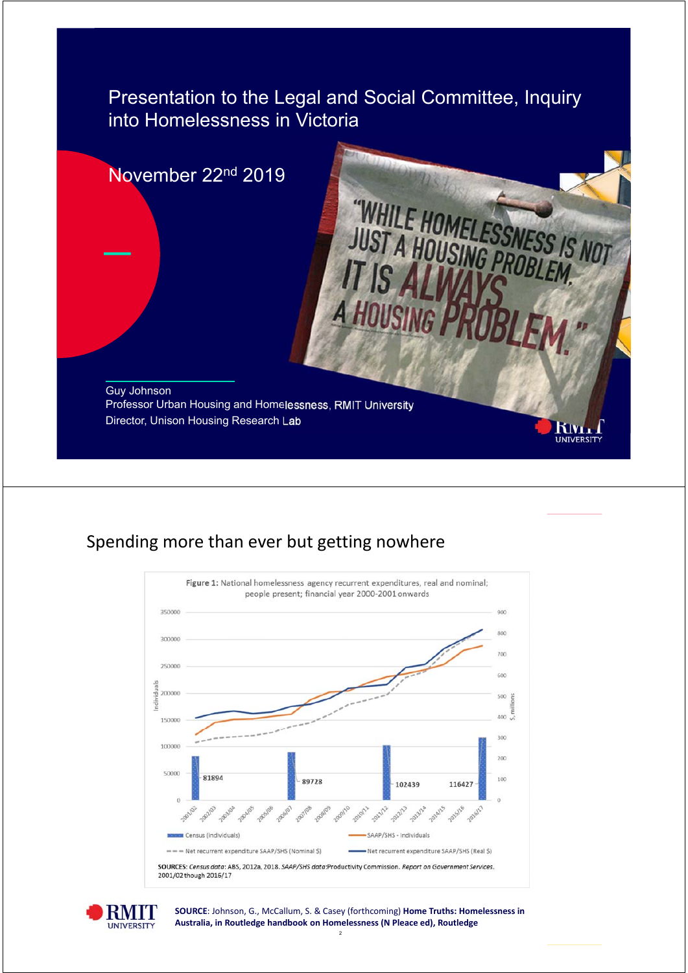Presentation to the Legal and Social Committee, Inquiry into Homelessness in Victoria



### Spending more than ever but getting nowhere





2 **SOURCE**: Johnson, G., McCallum, S. & Casey (forthcoming) **Home Truths: Homelessness in Australia, in Routledge handbook on Homelessness (N Pleace ed), Routledge**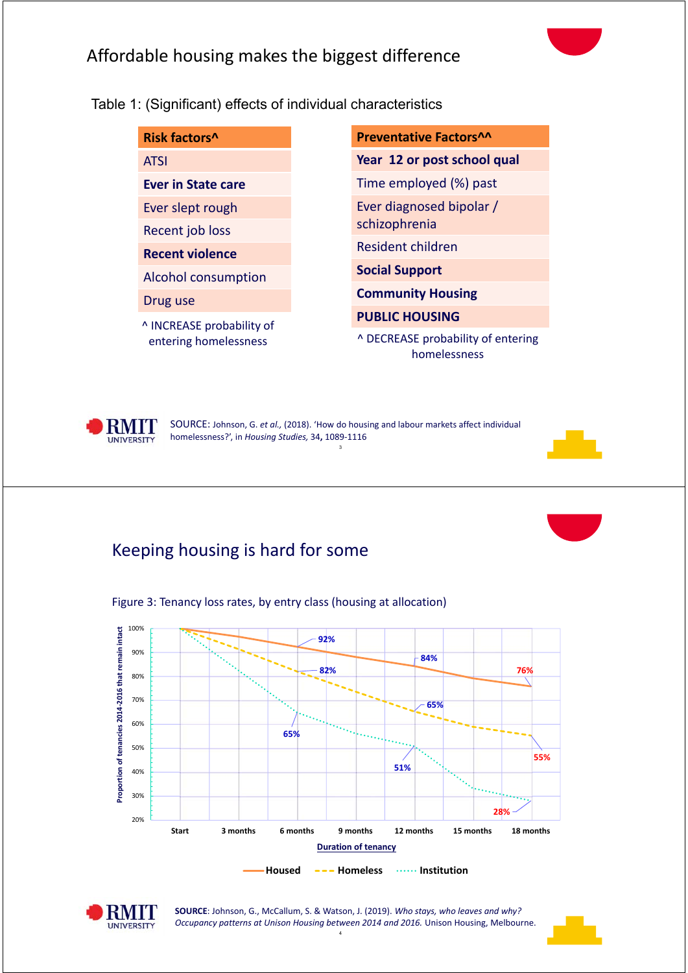## Affordable housing makes the biggest difference

Table 1: (Significant) effects of individual characteristics

| Risk factors^                                      | Preventative Factors^^                             |
|----------------------------------------------------|----------------------------------------------------|
| <b>ATSI</b>                                        | Year 12 or post school qual                        |
| <b>Ever in State care</b>                          | Time employed (%) past                             |
| Ever slept rough                                   | Ever diagnosed bipolar /                           |
| Recent job loss                                    | schizophrenia                                      |
| <b>Recent violence</b>                             | <b>Resident children</b>                           |
| <b>Alcohol consumption</b>                         | <b>Social Support</b>                              |
| Drug use                                           | <b>Community Housing</b>                           |
| ^ INCREASE probability of<br>entering homelessness | <b>PUBLIC HOUSING</b>                              |
|                                                    | ^ DECREASE probability of entering<br>homelessness |



3 SOURCE: Johnson, G. *et al.,* (2018). 'How do housing and labour markets affect individual homelessness?', in *Housing Studies,* 34**,** 1089‐1116

### Keeping housing is hard for some



Figure 3: Tenancy loss rates, by entry class (housing at allocation)



**SOURCE**: Johnson, G., McCallum, S. & Watson, J. (2019). *Who stays, who leaves and why? Occupancy patterns at Unison Housing between 2014 and 2016.* Unison Housing, Melbourne.

4